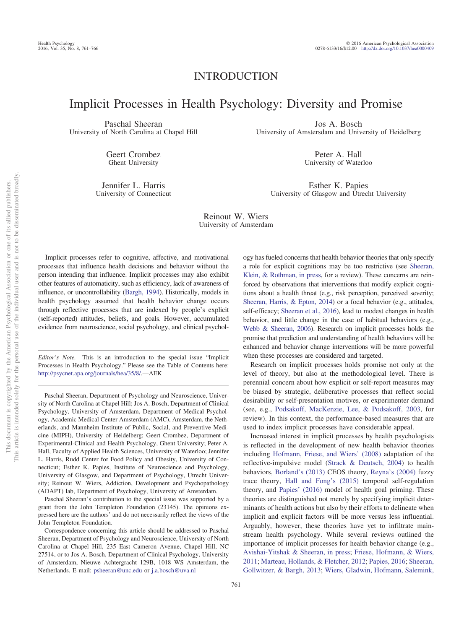# INTRODUCTION

# Implicit Processes in Health Psychology: Diversity and Promise

Paschal Sheeran University of North Carolina at Chapel Hill

> Geert Crombez Ghent University

Jennifer L. Harris University of Connecticut

Jos A. Bosch University of Amstersdam and University of Heidelberg

> Peter A. Hall University of Waterloo

Esther K. Papies University of Glasgow and Utrecht University

Reinout W. Wiers University of Amsterdam

Implicit processes refer to cognitive, affective, and motivational processes that influence health decisions and behavior without the person intending that influence. Implicit processes may also exhibit other features of automaticity, such as efficiency, lack of awareness of influence, or uncontrollability [\(Bargh, 1994\)](#page-4-0). Historically, models in health psychology assumed that health behavior change occurs through reflective processes that are indexed by people's explicit (self-reported) attitudes, beliefs, and goals. However, accumulated evidence from neuroscience, social psychology, and clinical psychol-

*Editor's Note.* This is an introduction to the special issue "Implicit Processes in Health Psychology." Please see the Table of Contents here: [http://psycnet.apa.org/journals/hea/35/8/.](http://psycnet.apa.org/journals/hea/35/8/)—AEK

Paschal Sheeran, Department of Psychology and Neuroscience, University of North Carolina at Chapel Hill; Jos A. Bosch, Department of Clinical Psychology, University of Amsterdam, Department of Medical Psychology, Academic Medical Center Amsterdam (AMC), Amsterdam, the Netherlands, and Mannheim Institute of Public, Social, and Preventive Medicine (MIPH), University of Heidelberg; Geert Crombez, Department of Experimental-Clinical and Health Psychology, Ghent University; Peter A. Hall, Faculty of Applied Health Sciences, University of Waterloo; Jennifer L. Harris, Rudd Center for Food Policy and Obesity, University of Connecticut; Esther K. Papies, Institute of Neuroscience and Psychology, University of Glasgow, and Department of Psychology, Utrecht University; Reinout W. Wiers, Addiction, Development and Psychopathology (ADAPT) lab, Department of Psychology, University of Amsterdam.

Paschal Sheeran's contribution to the special issue was supported by a grant from the John Templeton Foundation (23145). The opinions expressed here are the authors' and do not necessarily reflect the views of the John Templeton Foundation.

Correspondence concerning this article should be addressed to Paschal Sheeran, Department of Psychology and Neuroscience, University of North Carolina at Chapel Hill, 235 East Cameron Avenue, Chapel Hill, NC 27514, or to Jos A. Bosch, Department of Clinical Psychology, University of Amsterdam, Nieuwe Achtergracht 129B, 1018 WS Amsterdam, the Netherlands. E-mail: [psheeran@unc.edu](mailto:psheeran@unc.edu) or [j.a.bosch@uva.nl](mailto:j.a.bosch@uva.nl)

ogy has fueled concerns that health behavior theories that only specify a role for explicit cognitions may be too restrictive (see [Sheeran,](#page-5-0) [Klein, & Rothman, in press,](#page-5-0) for a review). These concerns are reinforced by observations that interventions that modify explicit cognitions about a health threat (e.g., risk perception, perceived severity; [Sheeran, Harris, & Epton, 2014\)](#page-5-1) or a focal behavior (e.g., attitudes, self-efficacy; [Sheeran et al., 2016\)](#page-5-2), lead to modest changes in health behavior, and little change in the case of habitual behaviors (e.g., [Webb & Sheeran, 2006\)](#page-5-3). Research on implicit processes holds the promise that prediction and understanding of health behaviors will be enhanced and behavior change interventions will be more powerful when these processes are considered and targeted.

Research on implicit processes holds promise not only at the level of theory, but also at the methodological level. There is perennial concern about how explicit or self-report measures may be biased by strategic, deliberative processes that reflect social desirability or self-presentation motives, or experimenter demand (see, e.g., [Podsakoff, MacKenzie, Lee, & Podsakoff, 2003,](#page-4-1) for review). In this context, the performance-based measures that are used to index implicit processes have considerable appeal.

Increased interest in implicit processes by health psychologists is reflected in the development of new health behavior theories including [Hofmann, Friese, and Wiers' \(2008\)](#page-4-2) adaptation of the reflective-impulsive model [\(Strack & Deutsch, 2004\)](#page-5-4) to health behaviors, [Borland's \(2013\)](#page-4-3) CEOS theory, [Reyna's \(2004\)](#page-4-4) fuzzy trace theory, [Hall and Fong's \(2015\)](#page-4-5) temporal self-regulation theory, and [Papies' \(2016\)](#page-4-6) model of health goal priming. These theories are distinguished not merely by specifying implicit determinants of health actions but also by their efforts to delineate when implicit and explicit factors will be more versus less influential. Arguably, however, these theories have yet to infiltrate mainstream health psychology. While several reviews outlined the importance of implicit processes for health behavior change (e.g., [Avishai-Yitshak & Sheeran, in press;](#page-4-7) [Friese, Hofmann, & Wiers,](#page-4-8) [2011;](#page-4-8) [Marteau, Hollands, & Fletcher, 2012;](#page-4-9) [Papies, 2016;](#page-4-6) [Sheeran,](#page-5-5) [Gollwitzer, & Bargh, 2013;](#page-5-5) [Wiers, Gladwin, Hofmann, Salemink,](#page-5-6)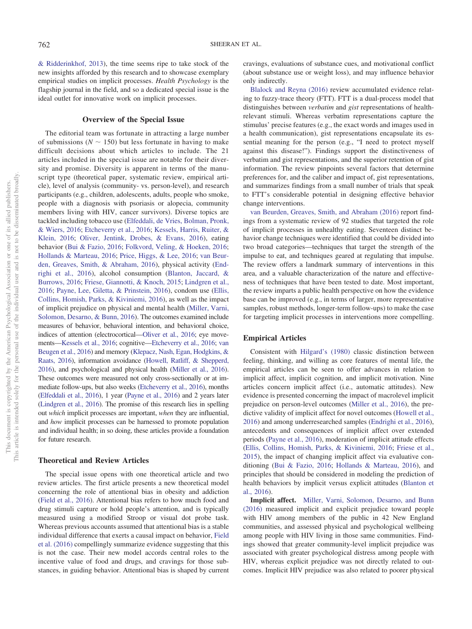[& Ridderinkhof, 2013\)](#page-5-6), the time seems ripe to take stock of the new insights afforded by this research and to showcase exemplary empirical studies on implicit processes. *Health Psychology* is the flagship journal in the field, and so a dedicated special issue is the ideal outlet for innovative work on implicit processes.

# **Overview of the Special Issue**

The editorial team was fortunate in attracting a large number of submissions ( $N \sim 150$ ) but less fortunate in having to make difficult decisions about which articles to include. The 21 articles included in the special issue are notable for their diversity and promise. Diversity is apparent in terms of the manuscript type (theoretical paper, systematic review, empirical article), level of analysis (community- vs. person-level), and research participants (e.g., children, adolescents, adults, people who smoke, people with a diagnosis with psoriasis or alopecia, community members living with HIV, cancer survivors). Diverse topics are tackled including tobacco use [\(Elfeddali, de Vries, Bolman, Pronk,](#page-4-10) [& Wiers, 2016;](#page-4-10) [Etcheverry et al., 2016;](#page-4-11) [Kessels, Harris, Ruiter, &](#page-4-12) [Klein, 2016;](#page-4-12) [Oliver, Jentink, Drobes, & Evans, 2016\)](#page-4-13), eating behavior [\(Bui & Fazio, 2016;](#page-4-14) [Folkvord, Veling, & Hoeken, 2016;](#page-4-15) [Hollands & Marteau, 2016;](#page-4-16) [Price, Higgs, & Lee, 2016;](#page-4-17) [van Beur](#page-5-7)[den, Greaves, Smith, & Abraham, 2016\)](#page-5-7), physical activity [\(End](#page-4-18)[righi et al., 2016\)](#page-4-18), alcohol consumption [\(Blanton, Jaccard, &](#page-4-19) [Burrows, 2016;](#page-4-19) [Friese, Giannotti, & Knoch, 2015;](#page-4-20) [Lindgren et al.,](#page-4-21) [2016;](#page-4-21) [Payne, Lee, Giletta, & Prinstein, 2016\)](#page-4-22), condom use [\(Ellis,](#page-4-23) [Collins, Homish, Parks, & Kiviniemi, 2016\)](#page-4-23), as well as the impact of implicit prejudice on physical and mental health [\(Miller, Varni,](#page-4-24) [Solomon, Desarno, & Bunn, 2016\)](#page-4-24). The outcomes examined include measures of behavior, behavioral intention, and behavioral choice, indices of attention (electrocortical[—Oliver et al., 2016;](#page-4-13) eye movements[—Kessels et al., 2016;](#page-4-12) cognitive[—Etcheverry et al., 2016;](#page-4-11) [van](#page-5-8) [Beugen et al., 2016\)](#page-5-8) and memory [\(Klepacz, Nash, Egan, Hodgkins, &](#page-4-25) [Raats, 2016\)](#page-4-25), information avoidance [\(Howell, Ratliff, & Shepperd,](#page-4-26) [2016\)](#page-4-26), and psychological and physical health [\(Miller et al., 2016\)](#page-4-24). These outcomes were measured not only cross-sectionally or at immediate follow-ups, but also weeks [\(Etcheverry et al., 2016\)](#page-4-11), months [\(Elfeddali et al., 2016\)](#page-4-10), 1 year [\(Payne et al., 2016\)](#page-4-22) and 2 years later [\(Lindgren et al., 2016\)](#page-4-21). The promise of this research lies in spelling out *which* implicit processes are important, *when* they are influential, and *how* implicit processes can be harnessed to promote population and individual health; in so doing, these articles provide a foundation for future research.

## **Theoretical and Review Articles**

The special issue opens with one theoretical article and two review articles. The first article presents a new theoretical model concerning the role of attentional bias in obesity and addiction [\(Field et al., 2016\)](#page-4-27). Attentional bias refers to how much food and drug stimuli capture or hold people's attention, and is typically measured using a modified Stroop or visual dot probe task. Whereas previous accounts assumed that attentional bias is a stable individual difference that exerts a causal impact on behavior, [Field](#page-4-27) [et al. \(2016\)](#page-4-27) compellingly summarize evidence suggesting that this is not the case. Their new model accords central roles to the incentive value of food and drugs, and cravings for those substances, in guiding behavior. Attentional bias is shaped by current cravings, evaluations of substance cues, and motivational conflict (about substance use or weight loss), and may influence behavior only indirectly.

[Blalock and Reyna \(2016\)](#page-4-28) review accumulated evidence relating to fuzzy-trace theory (FTT). FTT is a dual-process model that distinguishes between *verbatim* and *gist* representations of healthrelevant stimuli. Whereas verbatim representations capture the stimulus' precise features (e.g., the exact words and images used in a health communication), gist representations encapsulate its essential meaning for the person (e.g., "I need to protect myself against this disease!"). Findings support the distinctiveness of verbatim and gist representations, and the superior retention of gist information. The review pinpoints several factors that determine preferences for, and the caliber and impact of, gist representations, and summarizes findings from a small number of trials that speak to FTT's considerable potential in designing effective behavior change interventions.

[van Beurden, Greaves, Smith, and Abraham \(2016\)](#page-5-7) report findings from a systematic review of 92 studies that targeted the role of implicit processes in unhealthy eating. Seventeen distinct behavior change techniques were identified that could be divided into two broad categories—techniques that target the strength of the impulse to eat, and techniques geared at regulating that impulse. The review offers a landmark summary of interventions in this area, and a valuable characterization of the nature and effectiveness of techniques that have been tested to date. Most important, the review imparts a public health perspective on how the evidence base can be improved (e.g., in terms of larger, more representative samples, robust methods, longer-term follow-ups) to make the case for targeting implicit processes in interventions more compelling.

### **Empirical Articles**

Consistent with [Hilgard's \(1980\)](#page-4-29) classic distinction between feeling, thinking, and willing as core features of mental life, the empirical articles can be seen to offer advances in relation to implicit affect, implicit cognition, and implicit motivation. Nine articles concern implicit affect (i.e., automatic attitudes). New evidence is presented concerning the impact of macrolevel implicit prejudice on person-level outcomes [\(Miller et al., 2016\)](#page-4-24), the predictive validity of implicit affect for novel outcomes [\(Howell et al.,](#page-4-26) [2016\)](#page-4-26) and among underresearched samples [\(Endrighi et al., 2016\)](#page-4-18), antecedents and consequences of implicit affect over extended periods [\(Payne et al., 2016\)](#page-4-22), moderation of implicit attitude effects [\(Ellis, Collins, Homish, Parks, & Kiviniemi, 2016;](#page-4-23) [Friese et al.,](#page-4-20) [2015\)](#page-4-20), the impact of changing implicit affect via evaluative conditioning [\(Bui & Fazio, 2016;](#page-4-14) [Hollands & Marteau, 2016\)](#page-4-16), and principles that should be considered in modeling the prediction of health behaviors by implicit versus explicit attitudes [\(Blanton et](#page-4-19) [al., 2016\)](#page-4-19).

**Implicit affect.** [Miller, Varni, Solomon, Desarno, and Bunn](#page-4-24) [\(2016\)](#page-4-24) measured implicit and explicit prejudice toward people with HIV among members of the public in 42 New England communities, and assessed physical and psychological wellbeing among people with HIV living in those same communities. Findings showed that greater community-level implicit prejudice was associated with greater psychological distress among people with HIV, whereas explicit prejudice was not directly related to outcomes. Implicit HIV prejudice was also related to poorer physical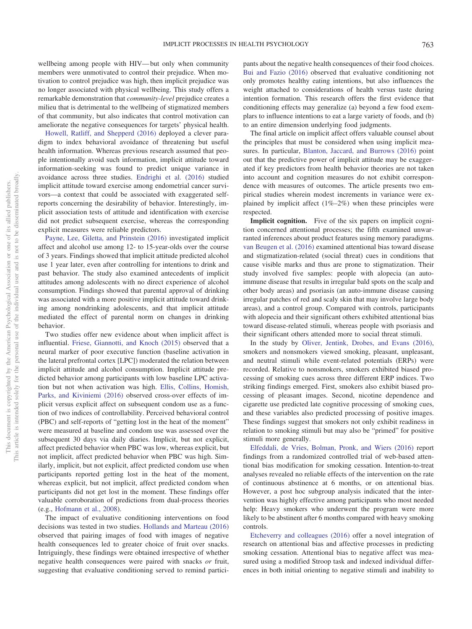wellbeing among people with HIV— but only when community members were unmotivated to control their prejudice. When motivation to control prejudice was high, then implicit prejudice was no longer associated with physical wellbeing. This study offers a remarkable demonstration that *community-level* prejudice creates a milieu that is detrimental to the wellbeing of stigmatized members of that community, but also indicates that control motivation can ameliorate the negative consequences for targets' physical health.

[Howell, Ratliff, and Shepperd \(2016\)](#page-4-26) deployed a clever paradigm to index behavioral avoidance of threatening but useful health information. Whereas previous research assumed that people intentionally avoid such information, implicit attitude toward information-seeking was found to predict unique variance in avoidance across three studies. [Endrighi et al. \(2016\)](#page-4-18) studied implicit attitude toward exercise among endometrial cancer survivors—a context that could be associated with exaggerated selfreports concerning the desirability of behavior. Interestingly, implicit association tests of attitude and identification with exercise did not predict subsequent exercise, whereas the corresponding explicit measures were reliable predictors.

[Payne, Lee, Giletta, and Prinstein \(2016\)](#page-4-22) investigated implicit affect and alcohol use among 12- to 15-year-olds over the course of 3 years. Findings showed that implicit attitude predicted alcohol use 1 year later, even after controlling for intentions to drink and past behavior. The study also examined antecedents of implicit attitudes among adolescents with no direct experience of alcohol consumption. Findings showed that parental approval of drinking was associated with a more positive implicit attitude toward drinking among nondrinking adolescents, and that implicit attitude mediated the effect of parental norm on changes in drinking behavior.

Two studies offer new evidence about when implicit affect is influential. [Friese, Giannotti, and Knoch \(2015\)](#page-4-20) observed that a neural marker of poor executive function (baseline activation in the lateral prefrontal cortex [LPC]) moderated the relation between implicit attitude and alcohol consumption. Implicit attitude predicted behavior among participants with low baseline LPC activation but not when activation was high. [Ellis, Collins, Homish,](#page-4-23) [Parks, and Kiviniemi \(2016\)](#page-4-23) observed cross-over effects of implicit versus explicit affect on subsequent condom use as a function of two indices of controllability. Perceived behavioral control (PBC) and self-reports of "getting lost in the heat of the moment" were measured at baseline and condom use was assessed over the subsequent 30 days via daily diaries. Implicit, but not explicit, affect predicted behavior when PBC was low, whereas explicit, but not implicit, affect predicted behavior when PBC was high. Similarly, implicit, but not explicit, affect predicted condom use when participants reported getting lost in the heat of the moment, whereas explicit, but not implicit, affect predicted condom when participants did not get lost in the moment. These findings offer valuable corroboration of predictions from dual-process theories (e.g., [Hofmann et al., 2008\)](#page-4-2).

The impact of evaluative conditioning interventions on food decisions was tested in two studies. [Hollands and Marteau \(2016\)](#page-4-16) observed that pairing images of food with images of negative health consequences led to greater choice of fruit over snacks. Intriguingly, these findings were obtained irrespective of whether negative health consequences were paired with snacks *or* fruit, suggesting that evaluative conditioning served to remind partici-

pants about the negative health consequences of their food choices. [Bui and Fazio \(2016\)](#page-4-14) observed that evaluative conditioning not only promotes healthy eating intentions, but also influences the weight attached to considerations of health versus taste during intention formation. This research offers the first evidence that conditioning effects may generalize (a) beyond a few food exemplars to influence intentions to eat a large variety of foods, and (b) to an entire dimension underlying food judgments.

The final article on implicit affect offers valuable counsel about the principles that must be considered when using implicit measures. In particular, [Blanton, Jaccard, and Burrows \(2016\)](#page-4-19) point out that the predictive power of implicit attitude may be exaggerated if key predictors from health behavior theories are not taken into account and cognition measures do not exhibit correspondence with measures of outcomes. The article presents two empirical studies wherein modest increments in variance were explained by implicit affect  $(1\% - 2\%)$  when these principles were respected.

**Implicit cognition.** Five of the six papers on implicit cognition concerned attentional processes; the fifth examined unwarranted inferences about product features using memory paradigms. [van Beugen et al. \(2016\)](#page-5-8) examined attentional bias toward disease and stigmatization-related (social threat) cues in conditions that cause visible marks and thus are prone to stigmatization. Their study involved five samples: people with alopecia (an autoimmune disease that results in irregular bald spots on the scalp and other body areas) and psoriasis (an auto-immune disease causing irregular patches of red and scaly skin that may involve large body areas), and a control group. Compared with controls, participants with alopecia and their significant others exhibited attentional bias toward disease-related stimuli, whereas people with psoriasis and their significant others attended more to social threat stimuli.

In the study by [Oliver, Jentink, Drobes, and Evans \(2016\),](#page-4-13) smokers and nonsmokers viewed smoking, pleasant, unpleasant, and neutral stimuli while event-related potentials (ERPs) were recorded. Relative to nonsmokers, smokers exhibited biased processing of smoking cues across three different ERP indices. Two striking findings emerged. First, smokers also exhibit biased processing of pleasant images. Second, nicotine dependence and cigarette use predicted late cognitive processing of smoking cues, and these variables also predicted processing of positive images. These findings suggest that smokers not only exhibit readiness in relation to smoking stimuli but may also be "primed" for positive stimuli more generally.

[Elfeddali, de Vries, Bolman, Pronk, and Wiers \(2016\)](#page-4-10) report findings from a randomized controlled trial of web-based attentional bias modification for smoking cessation. Intention-to-treat analyses revealed no reliable effects of the intervention on the rate of continuous abstinence at 6 months, or on attentional bias. However, a post hoc subgroup analysis indicated that the intervention was highly effective among participants who most needed help: Heavy smokers who underwent the program were more likely to be abstinent after 6 months compared with heavy smoking controls.

[Etcheverry and colleagues \(2016\)](#page-4-11) offer a novel integration of research on attentional bias and affective processes in predicting smoking cessation. Attentional bias to negative affect was measured using a modified Stroop task and indexed individual differences in both initial orienting to negative stimuli and inability to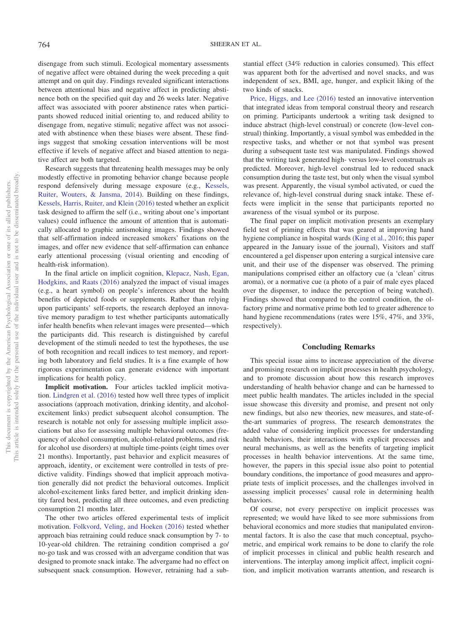disengage from such stimuli. Ecological momentary assessments of negative affect were obtained during the week preceding a quit attempt and on quit day. Findings revealed significant interactions between attentional bias and negative affect in predicting abstinence both on the specified quit day and 26 weeks later. Negative affect was associated with poorer abstinence rates when participants showed reduced initial orienting to, and reduced ability to disengage from, negative stimuli; negative affect was not associated with abstinence when these biases were absent. These findings suggest that smoking cessation interventions will be most effective if levels of negative affect and biased attention to negative affect are both targeted.

Research suggests that threatening health messages may be only modestly effective in promoting behavior change because people respond defensively during message exposure (e.g., [Kessels,](#page-4-30) [Ruiter, Wouters, & Jansma, 2014\)](#page-4-30). Building on these findings, [Kessels, Harris, Ruiter, and Klein \(2016\)](#page-4-12) tested whether an explicit task designed to affirm the self (i.e., writing about one's important values) could influence the amount of attention that is automatically allocated to graphic antismoking images. Findings showed that self-affirmation indeed increased smokers' fixations on the images, and offer new evidence that self-affirmation can enhance early attentional processing (visual orienting and encoding of health-risk information).

In the final article on implicit cognition, [Klepacz, Nash, Egan,](#page-4-25) [Hodgkins, and Raats \(2016\)](#page-4-25) analyzed the impact of visual images (e.g., a heart symbol) on people's inferences about the health benefits of depicted foods or supplements. Rather than relying upon participants' self-reports, the research deployed an innovative memory paradigm to test whether participants automatically infer health benefits when relevant images were presented—which the participants did. This research is distinguished by careful development of the stimuli needed to test the hypotheses, the use of both recognition and recall indices to test memory, and reporting both laboratory and field studies. It is a fine example of how rigorous experimentation can generate evidence with important implications for health policy.

**Implicit motivation.** Four articles tackled implicit motivation. [Lindgren et al. \(2016\)](#page-4-21) tested how well three types of implicit associations (approach motivation, drinking identity, and alcoholexcitement links) predict subsequent alcohol consumption. The research is notable not only for assessing multiple implicit associations but also for assessing multiple behavioral outcomes (frequency of alcohol consumption, alcohol-related problems, and risk for alcohol use disorders) at multiple time-points (eight times over 21 months). Importantly, past behavior and explicit measures of approach, identity, or excitement were controlled in tests of predictive validity. Findings showed that implicit approach motivation generally did not predict the behavioral outcomes. Implicit alcohol-excitement links fared better, and implicit drinking identity fared best, predicting all three outcomes, and even predicting consumption 21 months later.

The other two articles offered experimental tests of implicit motivation. [Folkvord, Veling, and Hoeken \(2016\)](#page-4-15) tested whether approach bias retraining could reduce snack consumption by 7- to 10-year-old children. The retraining condition comprised a go/ no-go task and was crossed with an advergame condition that was designed to promote snack intake. The advergame had no effect on subsequent snack consumption. However, retraining had a substantial effect (34% reduction in calories consumed). This effect was apparent both for the advertised and novel snacks, and was independent of sex, BMI, age, hunger, and explicit liking of the two kinds of snacks.

[Price, Higgs, and Lee \(2016\)](#page-4-17) tested an innovative intervention that integrated ideas from temporal construal theory and research on priming. Participants undertook a writing task designed to induce abstract (high-level construal) or concrete (low-level construal) thinking. Importantly, a visual symbol was embedded in the respective tasks, and whether or not that symbol was present during a subsequent taste test was manipulated. Findings showed that the writing task generated high- versus low-level construals as predicted. Moreover, high-level construal led to reduced snack consumption during the taste test, but only when the visual symbol was present. Apparently, the visual symbol activated, or cued the relevance of, high-level construal during snack intake. These effects were implicit in the sense that participants reported no awareness of the visual symbol or its purpose.

The final paper on implicit motivation presents an exemplary field test of priming effects that was geared at improving hand hygiene compliance in hospital wards [\(King et al., 2016;](#page-4-31) this paper appeared in the January issue of the journal), Visitors and staff encountered a gel dispenser upon entering a surgical intensive care unit, and their use of the dispenser was observed. The priming manipulations comprised either an olfactory cue (a 'clean' citrus aroma), or a normative cue (a photo of a pair of male eyes placed over the dispenser, to induce the perception of being watched). Findings showed that compared to the control condition, the olfactory prime and normative prime both led to greater adherence to hand hygiene recommendations (rates were 15%, 47%, and 33%, respectively).

### **Concluding Remarks**

This special issue aims to increase appreciation of the diverse and promising research on implicit processes in health psychology, and to promote discussion about how this research improves understanding of health behavior change and can be harnessed to meet public health mandates. The articles included in the special issue showcase this diversity and promise, and present not only new findings, but also new theories, new measures, and state-ofthe-art summaries of progress. The research demonstrates the added value of considering implicit processes for understanding health behaviors, their interactions with explicit processes and neural mechanisms, as well as the benefits of targeting implicit processes in health behavior interventions. At the same time, however, the papers in this special issue also point to potential boundary conditions, the importance of good measures and appropriate tests of implicit processes, and the challenges involved in assessing implicit processes' causal role in determining health behaviors.

Of course, not every perspective on implicit processes was represented; we would have liked to see more submissions from behavioral economics and more studies that manipulated environmental factors. It is also the case that much conceptual, psychometric, and empirical work remains to be done to clarify the role of implicit processes in clinical and public health research and interventions. The interplay among implicit affect, implicit cognition, and implicit motivation warrants attention, and research is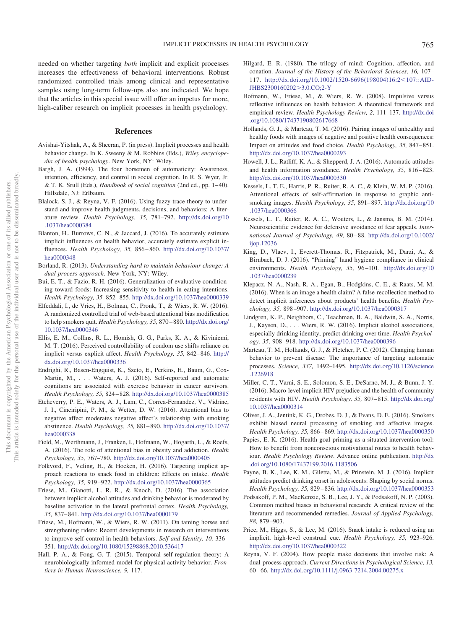needed on whether targeting *both* implicit and explicit processes increases the effectiveness of behavioral interventions. Robust randomized controlled trials among clinical and representative samples using long-term follow-ups also are indicated. We hope that the articles in this special issue will offer an impetus for more, high-caliber research on implicit processes in health psychology.

#### **References**

- <span id="page-4-7"></span>Avishai-Yitshak, A., & Sheeran, P. (in press). Implicit processes and health behavior change. In K. Sweeny & M. Robbins (Eds.), *Wiley encyclopedia of health psychology*. New York, NY: Wiley.
- <span id="page-4-0"></span>Bargh, J. A. (1994). The four horsemen of automaticity: Awareness, intention, efficiency, and control in social cognition. In R. S. Wyer, Jr. & T. K. Srull (Eds.), *Handbook of social cognition* (2nd ed., pp. 1– 40). Hillsdale, NJ: Erlbaum.
- <span id="page-4-28"></span>Blalock, S. J., & Reyna, V. F. (2016). Using fuzzy-trace theory to understand and improve health judgments, decisions, and behaviors: A literature review. *Health Psychology, 35,* 781–792. [http://dx.doi.org/10](http://dx.doi.org/10.1037/hea0000384) [.1037/hea0000384](http://dx.doi.org/10.1037/hea0000384)
- <span id="page-4-19"></span>Blanton, H., Burrows, C. N., & Jaccard, J. (2016). To accurately estimate implicit influences on health behavior, accurately estimate explicit influences. *Health Psychology, 35,* 856 – 860. [http://dx.doi.org/10.1037/](http://dx.doi.org/10.1037/hea0000348) [hea0000348](http://dx.doi.org/10.1037/hea0000348)
- <span id="page-4-3"></span>Borland, R. (2013). *Understanding hard to maintain behaviour change: A dual process approach*. New York, NY: Wiley.
- <span id="page-4-14"></span>Bui, E. T., & Fazio, R. H. (2016). Generalization of evaluative conditioning toward foods: Increasing sensitivity to health in eating intentions. *Health Psychology, 35,* 852– 855. <http://dx.doi.org/10.1037/hea0000339>
- <span id="page-4-10"></span>Elfeddali, I., de Vries, H., Bolman, C., Pronk, T., & Wiers, R. W. (2016). A randomized controlled trial of web-based attentional bias modification to help smokers quit. *Health Psychology, 35,* 870 – 880. [http://dx.doi.org/](http://dx.doi.org/10.1037/hea0000346) [10.1037/hea0000346](http://dx.doi.org/10.1037/hea0000346)
- <span id="page-4-23"></span>Ellis, E. M., Collins, R. L., Homish, G. G., Parks, K. A., & Kiviniemi, M. T. (2016). Perceived controllability of condom use shifts reliance on implicit versus explicit affect. *Health Psychology, 35,* 842– 846. [http://](http://dx.doi.org/10.1037/hea0000336) [dx.doi.org/10.1037/hea0000336](http://dx.doi.org/10.1037/hea0000336)
- <span id="page-4-18"></span>Endrighi, R., Basen-Engquist, K., Szeto, E., Perkins, H., Baum, G., Cox-Martin, M., . . . Waters, A. J. (2016). Self-reported and automatic cognitions are associated with exercise behavior in cancer survivors. *Health Psychology, 35,* 824 – 828. <http://dx.doi.org/10.1037/hea0000385>
- <span id="page-4-11"></span>Etcheverry, P. E., Waters, A. J., Lam, C., Correa-Fernandez, V., Vidrine, J. I., Cinciripini, P. M., & Wetter, D. W. (2016). Attentional bias to negative affect moderates negative affect's relationship with smoking abstinence. *Health Psychology, 35,* 881– 890. [http://dx.doi.org/10.1037/](http://dx.doi.org/10.1037/hea0000338) [hea0000338](http://dx.doi.org/10.1037/hea0000338)
- <span id="page-4-27"></span>Field, M., Werthmann, J., Franken, I., Hofmann, W., Hogarth, L., & Roefs, A. (2016). The role of attentional bias in obesity and addiction. *Health Psychology, 35,* 767–780. <http://dx.doi.org/10.1037/hea0000405>
- <span id="page-4-15"></span>Folkvord, F., Veling, H., & Hoeken, H. (2016). Targeting implicit approach reactions to snack food in children: Effects on intake. *Health Psychology, 35,* 919 –922. <http://dx.doi.org/10.1037/hea0000365>
- <span id="page-4-20"></span>Friese, M., Gianotti, L. R. R., & Knoch, D. (2016). The association between implicit alcohol attitudes and drinking behavior is moderated by baseline activation in the lateral prefrontal cortex. *Health Psychology, 35,* 837– 841. <http://dx.doi.org/10.1037/hea0000179>
- <span id="page-4-8"></span>Friese, M., Hofmann, W., & Wiers, R. W. (2011). On taming horses and strengthening riders: Recent developments in research on interventions to improve self-control in health behaviors. *Self and Identity, 10,* 336 – 351. <http://dx.doi.org/10.1080/15298868.2010.536417>
- <span id="page-4-5"></span>Hall, P. A., & Fong, G. T. (2015). Temporal self-regulation theory: A neurobiologically informed model for physical activity behavior. *Frontiers in Human Neuroscience, 9,* 117.
- <span id="page-4-29"></span>Hilgard, E. R. (1980). The trilogy of mind: Cognition, affection, and conation. *Journal of the History of the Behavioral Sciences, 16,* 107– 117. [http://dx.doi.org/10.1002/1520-6696\(198004\)16:2](http://dx.doi.org/10.1002/1520-6696%28198004%2916:2%3C107::AID-JHBS2300160202%3E3.0.CO;2-Y)<107::AID-[JHBS2300160202](http://dx.doi.org/10.1002/1520-6696%28198004%2916:2%3C107::AID-JHBS2300160202%3E3.0.CO;2-Y)3.0.CO;2-Y
- <span id="page-4-2"></span>Hofmann, W., Friese, M., & Wiers, R. W. (2008). Impulsive versus reflective influences on health behavior: A theoretical framework and empirical review. *Health Psychology Review, 2,* 111–137. [http://dx.doi](http://dx.doi.org/10.1080/17437190802617668) [.org/10.1080/17437190802617668](http://dx.doi.org/10.1080/17437190802617668)
- <span id="page-4-16"></span>Hollands, G. J., & Marteau, T. M. (2016). Pairing images of unhealthy and healthy foods with images of negative and positive health consequences: Impact on attitudes and food choice. *Health Psychology, 35,* 847– 851. <http://dx.doi.org/10.1037/hea0000293>
- <span id="page-4-26"></span>Howell, J. L., Ratliff, K. A., & Shepperd, J. A. (2016). Automatic attitudes and health information avoidance. *Health Psychology, 35,* 816 – 823. <http://dx.doi.org/10.1037/hea0000330>
- <span id="page-4-12"></span>Kessels, L. T. E., Harris, P. R., Ruiter, R. A. C., & Klein, W. M. P. (2016). Attentional effects of self-affirmation in response to graphic antismoking images. *Health Psychology, 35,* 891– 897. [http://dx.doi.org/10](http://dx.doi.org/10.1037/hea0000366) [.1037/hea0000366](http://dx.doi.org/10.1037/hea0000366)
- <span id="page-4-30"></span>Kessels, L. T., Ruiter, R. A. C., Wouters, L., & Jansma, B. M. (2014). Neuroscientific evidence for defensive avoidance of fear appeals. *International Journal of Psychology, 49,* 80 – 88. [http://dx.doi.org/10.1002/](http://dx.doi.org/10.1002/ijop.12036) [ijop.12036](http://dx.doi.org/10.1002/ijop.12036)
- <span id="page-4-31"></span>King, D., Vlaev, I., Everett-Thomas, R., Fitzpatrick, M., Darzi, A., & Birnbach, D. J. (2016). "Priming" hand hygiene compliance in clinical environments. *Health Psychology, 35,* 96 –101. [http://dx.doi.org/10](http://dx.doi.org/10.1037/hea0000239) [.1037/hea0000239](http://dx.doi.org/10.1037/hea0000239)
- <span id="page-4-25"></span>Klepacz, N. A., Nash, R. A., Egan, B., Hodgkins, C. E., & Raats, M. M. (2016). When is an image a health claim? A false-recollection method to detect implicit inferences about products' health benefits. *Health Psychology, 35,* 898 –907. <http://dx.doi.org/10.1037/hea0000317>
- <span id="page-4-21"></span>Lindgren, K. P., Neighbors, C., Teachman, B. A., Baldwin, S. A., Norris, J., Kaysen, D.,... Wiers, R. W. (2016). Implicit alcohol associations, especially drinking identity, predict drinking over time. *Health Psychology, 35,* 908 –918. <http://dx.doi.org/10.1037/hea0000396>
- <span id="page-4-9"></span>Marteau, T. M., Hollands, G. J., & Fletcher, P. C. (2012). Changing human behavior to prevent disease: The importance of targeting automatic processes. *Science, 337,* 1492–1495. [http://dx.doi.org/10.1126/science](http://dx.doi.org/10.1126/science.1226918) [.1226918](http://dx.doi.org/10.1126/science.1226918)
- <span id="page-4-24"></span>Miller, C. T., Varni, S. E., Solomon, S. E., DeSarno, M. J., & Bunn, J. Y. (2016). Macro-level implicit HIV prejudice and the health of community residents with HIV. *Health Psychology, 35,* 807– 815. [http://dx.doi.org/](http://dx.doi.org/10.1037/hea0000314) [10.1037/hea0000314](http://dx.doi.org/10.1037/hea0000314)
- <span id="page-4-13"></span>Oliver, J. A., Jentink, K. G., Drobes, D. J., & Evans, D. E. (2016). Smokers exhibit biased neural processing of smoking and affective images. *Health Psychology, 35,* 866 – 869. <http://dx.doi.org/10.1037/hea0000350>
- <span id="page-4-6"></span>Papies, E. K. (2016). Health goal priming as a situated intervention tool: How to benefit from nonconscious motivational routes to health behaviour. *Health Psychology Review*. Advance online publication. [http://dx](http://dx.doi.org/10.1080/17437199.2016.1183506) [.doi.org/10.1080/17437199.2016.1183506](http://dx.doi.org/10.1080/17437199.2016.1183506)
- <span id="page-4-22"></span>Payne, B. K., Lee, K. M., Giletta, M., & Prinstein, M. J. (2016). Implicit attitudes predict drinking onset in adolescents: Shaping by social norms. *Health Psychology, 35,* 829 – 836. <http://dx.doi.org/10.1037/hea0000353>
- <span id="page-4-1"></span>Podsakoff, P. M., MacKenzie, S. B., Lee, J. Y., & Podsakoff, N. P. (2003). Common method biases in behavioral research: A critical review of the literature and recommended remedies. *Journal of Applied Psychology, 88,* 879 –903.
- <span id="page-4-17"></span>Price, M., Higgs, S., & Lee, M. (2016). Snack intake is reduced using an implicit, high-level construal cue. *Health Psychology, 35,* 923–926. <http://dx.doi.org/10.1037/hea0000322>
- <span id="page-4-4"></span>Reyna, V. F. (2004). How people make decisions that involve risk: A dual-process approach. *Current Directions in Psychological Science, 13,* 60 – 66. <http://dx.doi.org/10.1111/j.0963-7214.2004.00275.x>